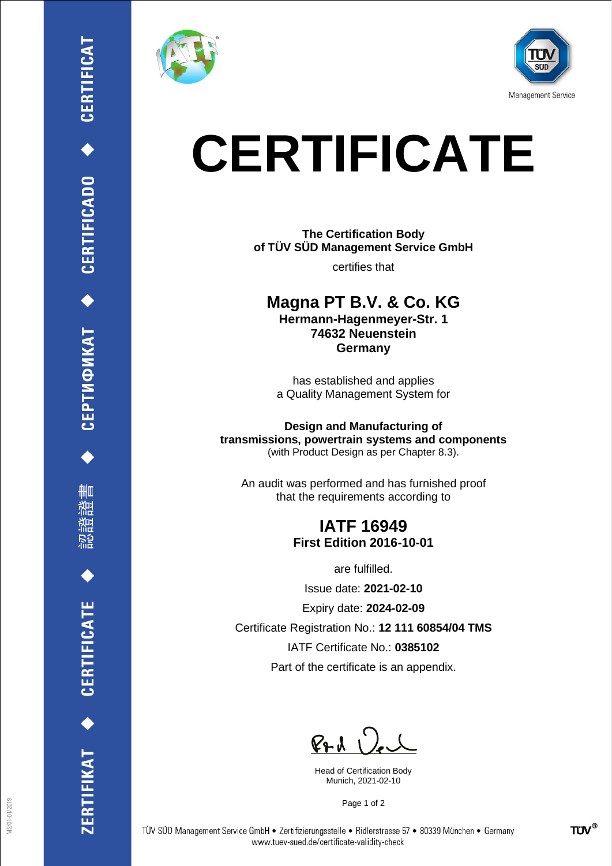

刪

**CERTIFICATE** 

ERTIFIKAT<sup>+</sup>





# **CERTIFICATE**

**The Certification Body of TÜV SÜD Management Service GmbH**

certifies that

**Magna PT B.V. & Co. KG Hermann-Hagenmeyer-Str. 1 74632 Neuenstein Germany**

has established and applies a Quality Management System for

**Design and Manufacturing of transmissions, powertrain systems and components** (with Product Design as per Chapter 8.3).

An audit was performed and has furnished proof that the requirements according to

### **IATF 16949 First Edition 2016-10-01**

are fulfilled.

Issue date: **2021-02-10**

Expiry date: **2024-02-09**

Certificate Registration No.: **12 111 60854/04 TMS**

IATF Certificate No.: **0385102**

Part of the certificate is an appendix.

 $P+A$ 

Head of Certification Body Munich, 2021-02-10

Page 1 of 2